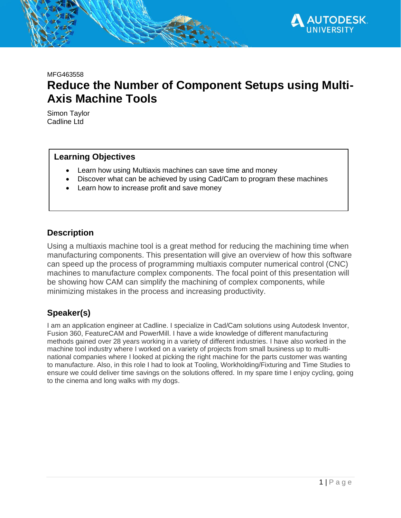

MFG463558

# **Reduce the Number of Component Setups using Multi-Axis Machine Tools**

Simon Taylor Cadline Ltd

#### **Learning Objectives**

- Learn how using Multiaxis machines can save time and money
- Discover what can be achieved by using Cad/Cam to program these machines
- Learn how to increase profit and save money

#### **Description**

Using a multiaxis machine tool is a great method for reducing the machining time when manufacturing components. This presentation will give an overview of how this software can speed up the process of programming multiaxis computer numerical control (CNC) machines to manufacture complex components. The focal point of this presentation will be showing how CAM can simplify the machining of complex components, while minimizing mistakes in the process and increasing productivity.

### **Speaker(s)**

I am an application engineer at Cadline. I specialize in Cad/Cam solutions using Autodesk Inventor, Fusion 360, FeatureCAM and PowerMill. I have a wide knowledge of different manufacturing methods gained over 28 years working in a variety of different industries. I have also worked in the machine tool industry where I worked on a variety of projects from small business up to multinational companies where I looked at picking the right machine for the parts customer was wanting to manufacture. Also, in this role I had to look at Tooling, Workholding/Fixturing and Time Studies to ensure we could deliver time savings on the solutions offered. In my spare time I enjoy cycling, going to the cinema and long walks with my dogs.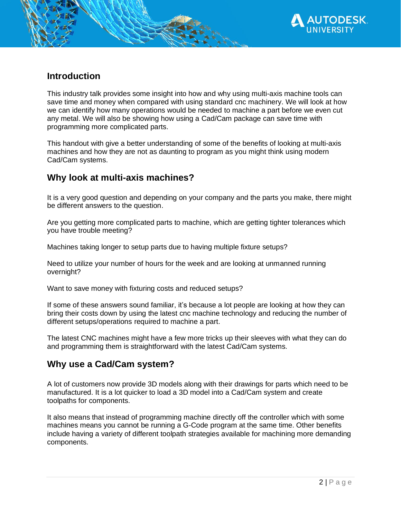

## **Introduction**

This industry talk provides some insight into how and why using multi-axis machine tools can save time and money when compared with using standard cnc machinery. We will look at how we can identify how many operations would be needed to machine a part before we even cut any metal. We will also be showing how using a Cad/Cam package can save time with programming more complicated parts.

This handout with give a better understanding of some of the benefits of looking at multi-axis machines and how they are not as daunting to program as you might think using modern Cad/Cam systems.

# **Why look at multi-axis machines?**

It is a very good question and depending on your company and the parts you make, there might be different answers to the question.

Are you getting more complicated parts to machine, which are getting tighter tolerances which you have trouble meeting?

Machines taking longer to setup parts due to having multiple fixture setups?

Need to utilize your number of hours for the week and are looking at unmanned running overnight?

Want to save money with fixturing costs and reduced setups?

If some of these answers sound familiar, it's because a lot people are looking at how they can bring their costs down by using the latest cnc machine technology and reducing the number of different setups/operations required to machine a part.

The latest CNC machines might have a few more tricks up their sleeves with what they can do and programming them is straightforward with the latest Cad/Cam systems.

# **Why use a Cad/Cam system?**

A lot of customers now provide 3D models along with their drawings for parts which need to be manufactured. It is a lot quicker to load a 3D model into a Cad/Cam system and create toolpaths for components.

It also means that instead of programming machine directly off the controller which with some machines means you cannot be running a G-Code program at the same time. Other benefits include having a variety of different toolpath strategies available for machining more demanding components.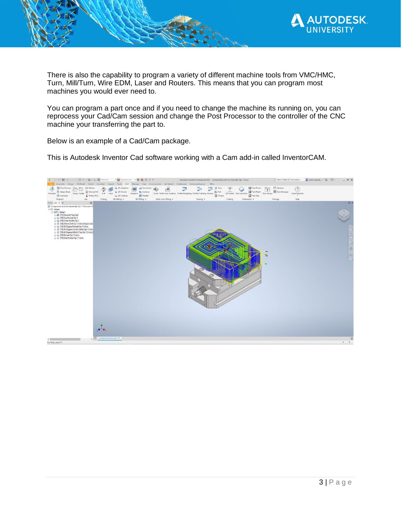

There is also the capability to program a variety of different machine tools from VMC/HMC, Turn, Mill/Turn, Wire EDM, Laser and Routers. This means that you can program most machines you would ever need to.

You can program a part once and if you need to change the machine its running on, you can reprocess your Cad/Cam session and change the Post Processor to the controller of the CNC machine your transferring the part to.

Below is an example of a Cad/Cam package.

This is Autodesk Inventor Cad software working with a Cam add-in called InventorCAM.

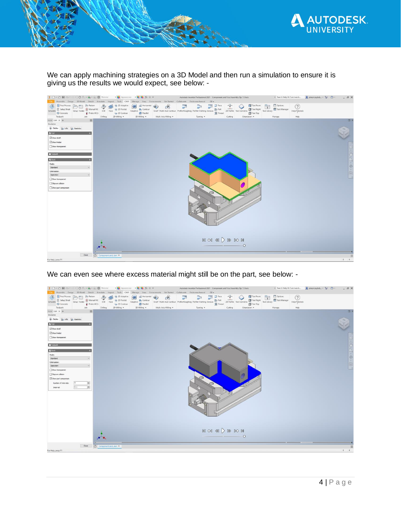

We can apply machining strategies on a 3D Model and then run a simulation to ensure it is giving us the results we would expect, see below: -



We can even see where excess material might still be on the part, see below: -